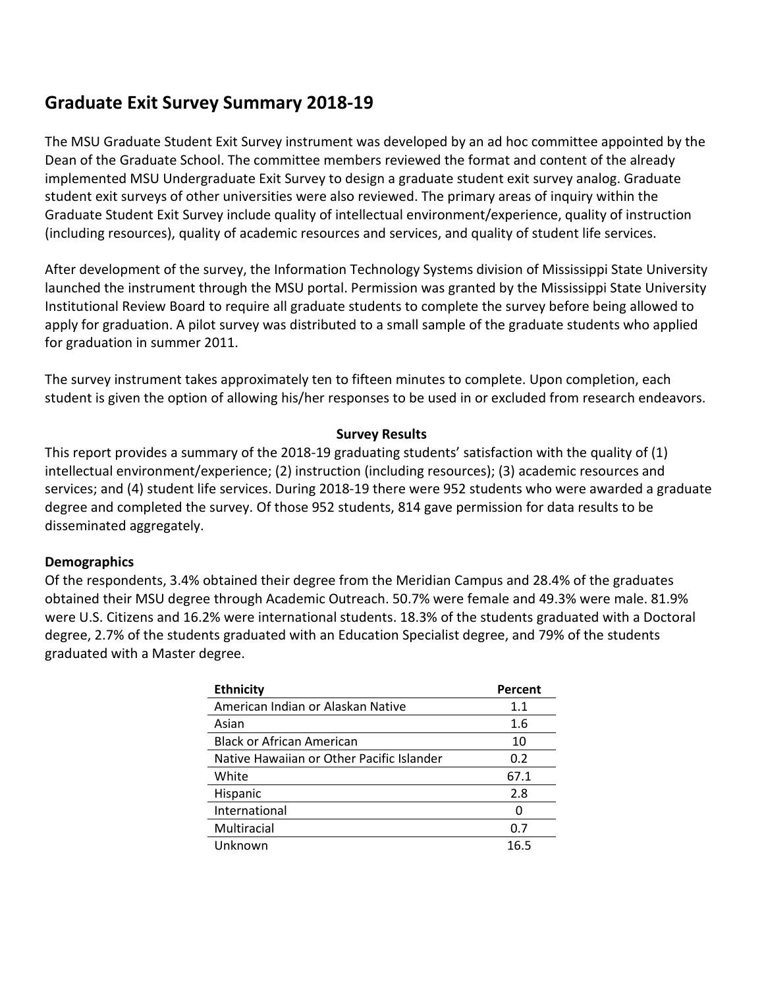# **Graduate Exit Survey Summary 2018-19**

The MSU Graduate Student Exit Survey instrument was developed by an ad hoc committee appointed by the Dean of the Graduate School. The committee members reviewed the format and content of the already implemented MSU Undergraduate Exit Survey to design a graduate student exit survey analog. Graduate student exit surveys of other universities were also reviewed. The primary areas of inquiry within the Graduate Student Exit Survey include quality of intellectual environment/experience, quality of instruction (including resources), quality of academic resources and services, and quality of student life services.

After development of the survey, the Information Technology Systems division of Mississippi State University launched the instrument through the MSU portal. Permission was granted by the Mississippi State University Institutional Review Board to require all graduate students to complete the survey before being allowed to apply for graduation. A pilot survey was distributed to a small sample of the graduate students who applied for graduation in summer 2011.

The survey instrument takes approximately ten to fifteen minutes to complete. Upon completion, each student is given the option of allowing his/her responses to be used in or excluded from research endeavors.

#### **Survey Results**

This report provides a summary of the 2018-19 graduating students' satisfaction with the quality of (1) intellectual environment/experience; (2) instruction (including resources); (3) academic resources and services; and (4) student life services. During 2018-19 there were 952 students who were awarded a graduate degree and completed the survey. Of those 952 students, 814 gave permission for data results to be disseminated aggregately.

#### **Demographics**

Of the respondents, 3.4% obtained their degree from the Meridian Campus and 28.4% of the graduates obtained their MSU degree through Academic Outreach. 50.7% were female and 49.3% were male. 81.9% were U.S. Citizens and 16.2% were international students. 18.3% of the students graduated with a Doctoral degree, 2.7% of the students graduated with an Education Specialist degree, and 79% of the students graduated with a Master degree.

| <b>Ethnicity</b>                          | Percent |
|-------------------------------------------|---------|
| American Indian or Alaskan Native         | 1.1     |
| Asian                                     | 1.6     |
| <b>Black or African American</b>          | 10      |
| Native Hawaiian or Other Pacific Islander | 0.2     |
| White                                     | 67.1    |
| Hispanic                                  | 2.8     |
| International                             | O       |
| Multiracial                               | 0.7     |
| Unknown                                   | 16.5    |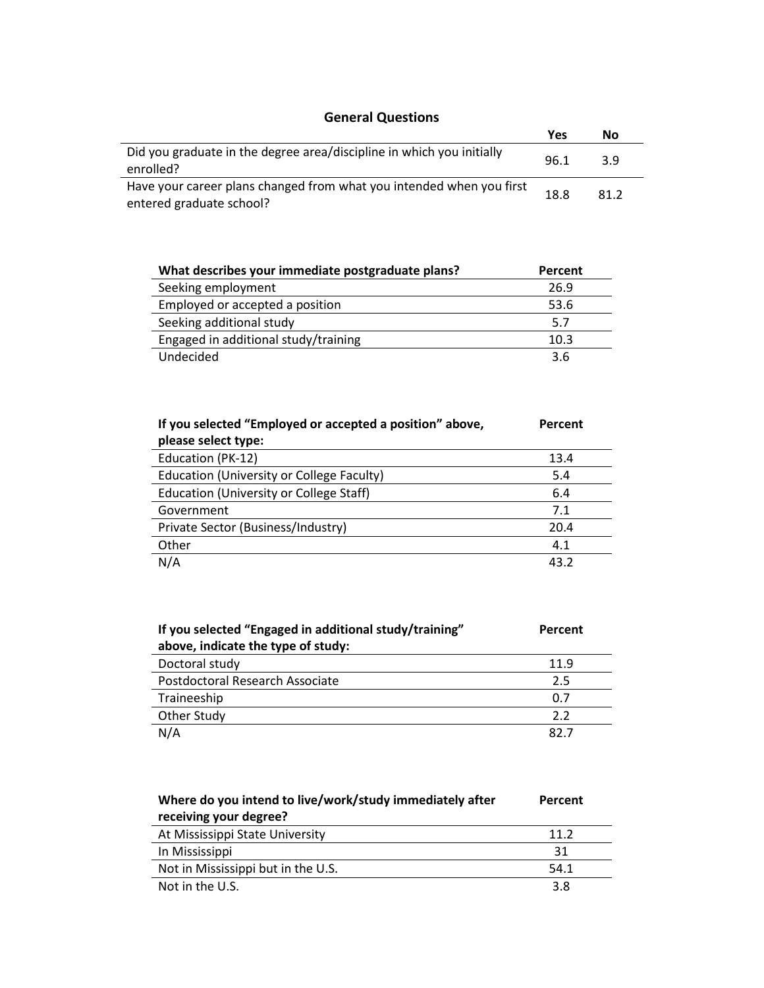### **General Questions**

| <b>General Questions</b>                                                                         |      |      |
|--------------------------------------------------------------------------------------------------|------|------|
|                                                                                                  | Yes  | Nο   |
| Did you graduate in the degree area/discipline in which you initially<br>enrolled?               | 96.1 | 3.9  |
| Have your career plans changed from what you intended when you first<br>entered graduate school? | 18.8 | 81.2 |

| What describes your immediate postgraduate plans? | Percent |
|---------------------------------------------------|---------|
| Seeking employment                                | 26.9    |
| Employed or accepted a position                   | 53.6    |
| Seeking additional study                          | 5.7     |
| Engaged in additional study/training              | 10.3    |
| Undecided                                         | 3.6     |

| If you selected "Employed or accepted a position" above, | Percent |
|----------------------------------------------------------|---------|
| please select type:                                      |         |
| Education (PK-12)                                        | 13.4    |
| Education (University or College Faculty)                | 5.4     |
| <b>Education (University or College Staff)</b>           | 6.4     |
| Government                                               | 7.1     |
| Private Sector (Business/Industry)                       | 20.4    |
| Other                                                    | 4.1     |
| N/A                                                      | 43.2    |

| If you selected "Engaged in additional study/training" | Percent |
|--------------------------------------------------------|---------|
| above, indicate the type of study:                     |         |
| Doctoral study                                         | 11.9    |
| Postdoctoral Research Associate                        | 2.5     |
| Traineeship                                            | 0.7     |
| Other Study                                            | 2.2     |
| N/A                                                    | : כפ    |

| Where do you intend to live/work/study immediately after | Percent |
|----------------------------------------------------------|---------|
| receiving your degree?                                   |         |
| At Mississippi State University                          | 11.2    |
| In Mississippi                                           | 31      |
| Not in Mississippi but in the U.S.                       | 54.1    |
| Not in the U.S.                                          | 3.8     |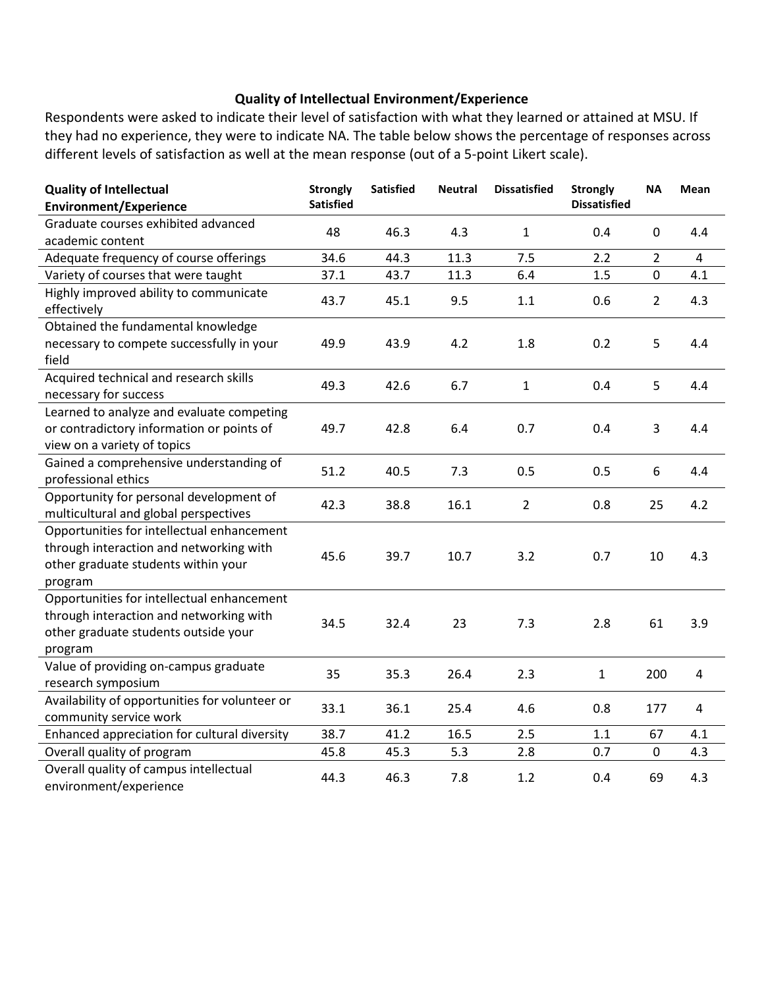#### **Quality of Intellectual Environment/Experience**

Respondents were asked to indicate their level of satisfaction with what they learned or attained at MSU. If they had no experience, they were to indicate NA. The table below shows the percentage of responses across different levels of satisfaction as well at the mean response (out of a 5-point Likert scale).

| <b>Quality of Intellectual</b>                 | <b>Strongly</b>  | <b>Satisfied</b> | <b>Neutral</b> | <b>Dissatisfied</b> | <b>Strongly</b>     | <b>NA</b>      | Mean           |
|------------------------------------------------|------------------|------------------|----------------|---------------------|---------------------|----------------|----------------|
| <b>Environment/Experience</b>                  | <b>Satisfied</b> |                  |                |                     | <b>Dissatisfied</b> |                |                |
| Graduate courses exhibited advanced            | 48               | 46.3             | 4.3            | $\mathbf{1}$        | 0.4                 | 0              | 4.4            |
| academic content                               |                  |                  |                |                     |                     |                |                |
| Adequate frequency of course offerings         | 34.6             | 44.3             | 11.3           | 7.5                 | 2.2                 | $\overline{2}$ | 4              |
| Variety of courses that were taught            | 37.1             | 43.7             | 11.3           | 6.4                 | 1.5                 | 0              | 4.1            |
| Highly improved ability to communicate         | 43.7             | 45.1             | 9.5            | 1.1                 | 0.6                 | $\overline{2}$ | 4.3            |
| effectively                                    |                  |                  |                |                     |                     |                |                |
| Obtained the fundamental knowledge             |                  |                  |                |                     |                     |                |                |
| necessary to compete successfully in your      | 49.9             | 43.9             | 4.2            | 1.8                 | 0.2                 | 5              | 4.4            |
| field                                          |                  |                  |                |                     |                     |                |                |
| Acquired technical and research skills         | 49.3             | 42.6             | 6.7            | $\mathbf{1}$        | 0.4                 | 5              | 4.4            |
| necessary for success                          |                  |                  |                |                     |                     |                |                |
| Learned to analyze and evaluate competing      |                  |                  |                |                     |                     |                |                |
| or contradictory information or points of      | 49.7             | 42.8             | 6.4            | 0.7                 | 0.4                 | 3              | 4.4            |
| view on a variety of topics                    |                  |                  |                |                     |                     |                |                |
| Gained a comprehensive understanding of        | 51.2             | 40.5             | 7.3            | 0.5                 | 0.5                 | 6              | 4.4            |
| professional ethics                            |                  |                  |                |                     |                     |                |                |
| Opportunity for personal development of        | 42.3             | 38.8             | 16.1           | $\overline{2}$      | 0.8                 | 25             | 4.2            |
| multicultural and global perspectives          |                  |                  |                |                     |                     |                |                |
| Opportunities for intellectual enhancement     |                  |                  |                |                     |                     |                |                |
| through interaction and networking with        | 45.6             | 39.7             | 10.7           | 3.2                 | 0.7                 | 10             | 4.3            |
| other graduate students within your            |                  |                  |                |                     |                     |                |                |
| program                                        |                  |                  |                |                     |                     |                |                |
| Opportunities for intellectual enhancement     |                  |                  |                |                     |                     |                |                |
| through interaction and networking with        | 34.5             | 32.4             | 23             | 7.3                 | 2.8                 | 61             | 3.9            |
| other graduate students outside your           |                  |                  |                |                     |                     |                |                |
| program                                        |                  |                  |                |                     |                     |                |                |
| Value of providing on-campus graduate          | 35               | 35.3             | 26.4           | 2.3                 | $\mathbf{1}$        | 200            | $\overline{a}$ |
| research symposium                             |                  |                  |                |                     |                     |                |                |
| Availability of opportunities for volunteer or | 33.1             | 36.1             | 25.4           | 4.6                 | 0.8                 | 177            | $\overline{a}$ |
| community service work                         |                  |                  |                |                     |                     |                |                |
| Enhanced appreciation for cultural diversity   | 38.7             | 41.2             | 16.5           | 2.5                 | 1.1                 | 67             | 4.1            |
| Overall quality of program                     | 45.8             | 45.3             | 5.3            | 2.8                 | 0.7                 | 0              | 4.3            |
| Overall quality of campus intellectual         | 44.3             | 46.3             | 7.8            | 1.2                 | 0.4                 | 69             | 4.3            |
| environment/experience                         |                  |                  |                |                     |                     |                |                |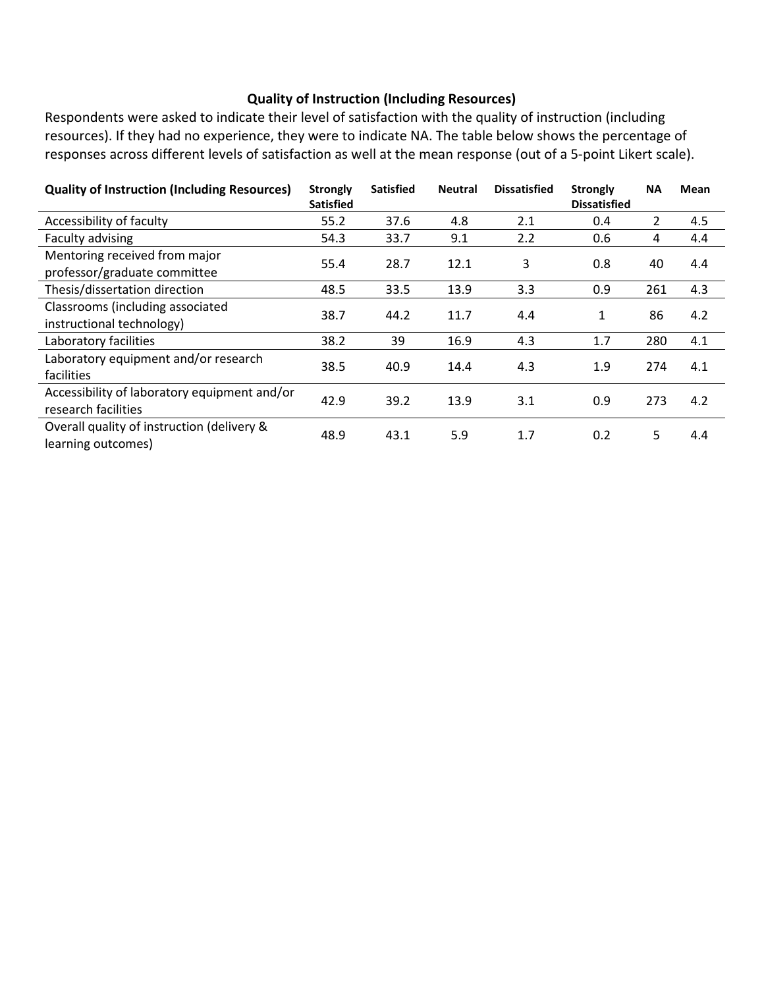#### **Quality of Instruction (Including Resources)**

Respondents were asked to indicate their level of satisfaction with the quality of instruction (including resources). If they had no experience, they were to indicate NA. The table below shows the percentage of responses across different levels of satisfaction as well at the mean response (out of a 5-point Likert scale).

| <b>Quality of Instruction (Including Resources)</b>                 | <b>Strongly</b><br><b>Satisfied</b> | <b>Satisfied</b> | <b>Neutral</b> | <b>Dissatisfied</b> | <b>Strongly</b><br><b>Dissatisfied</b> | <b>NA</b>      | Mean |
|---------------------------------------------------------------------|-------------------------------------|------------------|----------------|---------------------|----------------------------------------|----------------|------|
| Accessibility of faculty                                            | 55.2                                | 37.6             | 4.8            | 2.1                 | 0.4                                    | $\overline{2}$ | 4.5  |
| Faculty advising                                                    | 54.3                                | 33.7             | 9.1            | 2.2                 | 0.6                                    | 4              | 4.4  |
| Mentoring received from major<br>professor/graduate committee       | 55.4                                | 28.7             | 12.1           | 3                   | 0.8                                    | 40             | 4.4  |
| Thesis/dissertation direction                                       | 48.5                                | 33.5             | 13.9           | 3.3                 | 0.9                                    | 261            | 4.3  |
| Classrooms (including associated<br>instructional technology)       | 38.7                                | 44.2             | 11.7           | 4.4                 | 1                                      | 86             | 4.2  |
| Laboratory facilities                                               | 38.2                                | 39               | 16.9           | 4.3                 | 1.7                                    | 280            | 4.1  |
| Laboratory equipment and/or research<br>facilities                  | 38.5                                | 40.9             | 14.4           | 4.3                 | 1.9                                    | 274            | 4.1  |
| Accessibility of laboratory equipment and/or<br>research facilities | 42.9                                | 39.2             | 13.9           | 3.1                 | 0.9                                    | 273            | 4.2  |
| Overall quality of instruction (delivery &<br>learning outcomes)    | 48.9                                | 43.1             | 5.9            | 1.7                 | 0.2                                    | 5              | 4.4  |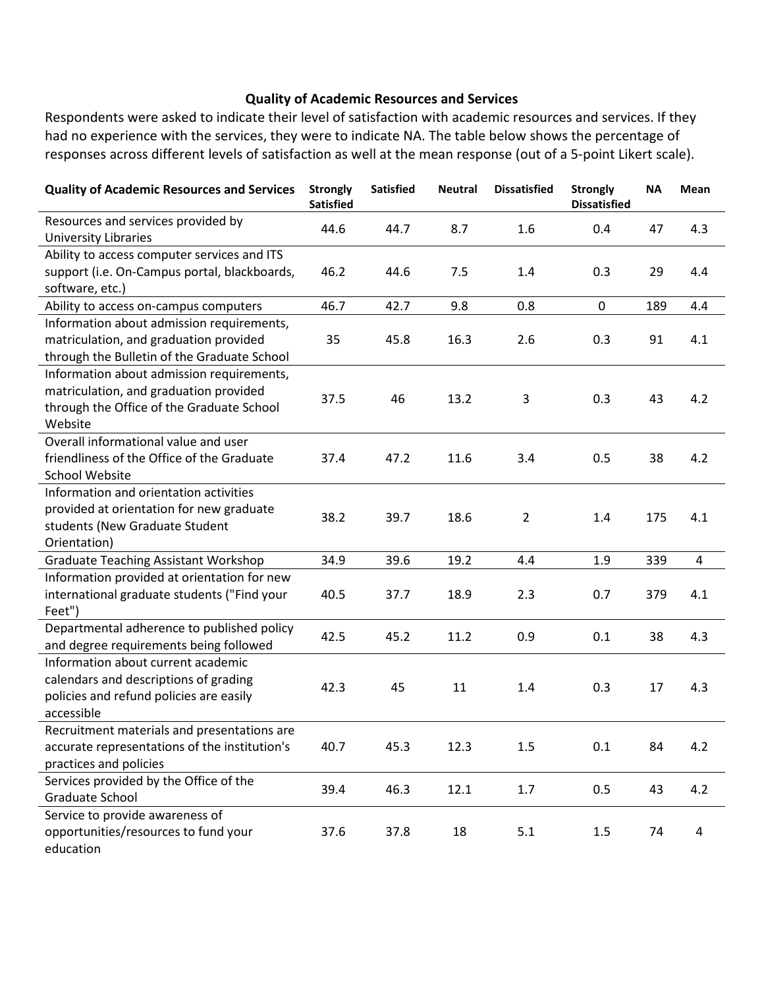#### **Quality of Academic Resources and Services**

Respondents were asked to indicate their level of satisfaction with academic resources and services. If they had no experience with the services, they were to indicate NA. The table below shows the percentage of responses across different levels of satisfaction as well at the mean response (out of a 5-point Likert scale).

| <b>Quality of Academic Resources and Services</b> | <b>Strongly</b><br><b>Satisfied</b> | <b>Satisfied</b> | <b>Neutral</b> | <b>Dissatisfied</b> | <b>Strongly</b><br><b>Dissatisfied</b> | <b>NA</b> | Mean |
|---------------------------------------------------|-------------------------------------|------------------|----------------|---------------------|----------------------------------------|-----------|------|
| Resources and services provided by                | 44.6                                | 44.7             | 8.7            | 1.6                 | 0.4                                    | 47        | 4.3  |
| <b>University Libraries</b>                       |                                     |                  |                |                     |                                        |           |      |
| Ability to access computer services and ITS       |                                     |                  |                |                     |                                        |           |      |
| support (i.e. On-Campus portal, blackboards,      | 46.2                                | 44.6             | 7.5            | 1.4                 | 0.3                                    | 29        | 4.4  |
| software, etc.)                                   |                                     |                  |                |                     |                                        |           |      |
| Ability to access on-campus computers             | 46.7                                | 42.7             | 9.8            | 0.8                 | $\pmb{0}$                              | 189       | 4.4  |
| Information about admission requirements,         |                                     |                  |                |                     |                                        |           |      |
| matriculation, and graduation provided            | 35                                  | 45.8             | 16.3           | 2.6                 | 0.3                                    | 91        | 4.1  |
| through the Bulletin of the Graduate School       |                                     |                  |                |                     |                                        |           |      |
| Information about admission requirements,         |                                     |                  |                |                     |                                        |           |      |
| matriculation, and graduation provided            | 37.5                                | 46               | 13.2           | 3                   | 0.3                                    | 43        | 4.2  |
| through the Office of the Graduate School         |                                     |                  |                |                     |                                        |           |      |
| Website                                           |                                     |                  |                |                     |                                        |           |      |
| Overall informational value and user              |                                     |                  |                |                     |                                        |           |      |
| friendliness of the Office of the Graduate        | 37.4                                | 47.2             | 11.6           | 3.4                 | 0.5                                    | 38        | 4.2  |
| <b>School Website</b>                             |                                     |                  |                |                     |                                        |           |      |
| Information and orientation activities            |                                     |                  |                |                     |                                        |           |      |
| provided at orientation for new graduate          | 38.2                                | 39.7             | 18.6           | $\overline{2}$      | 1.4                                    | 175       | 4.1  |
| students (New Graduate Student                    |                                     |                  |                |                     |                                        |           |      |
| Orientation)                                      |                                     |                  |                |                     |                                        |           |      |
| <b>Graduate Teaching Assistant Workshop</b>       | 34.9                                | 39.6             | 19.2           | 4.4                 | 1.9                                    | 339       | 4    |
| Information provided at orientation for new       |                                     |                  |                |                     |                                        |           |      |
| international graduate students ("Find your       | 40.5                                | 37.7             | 18.9           | 2.3                 | 0.7                                    | 379       | 4.1  |
| Feet")                                            |                                     |                  |                |                     |                                        |           |      |
| Departmental adherence to published policy        | 42.5                                | 45.2             | 11.2           | 0.9                 | 0.1                                    | 38        | 4.3  |
| and degree requirements being followed            |                                     |                  |                |                     |                                        |           |      |
| Information about current academic                |                                     |                  |                |                     |                                        |           |      |
| calendars and descriptions of grading             | 42.3                                | 45               | 11             | 1.4                 | 0.3                                    | 17        | 4.3  |
| policies and refund policies are easily           |                                     |                  |                |                     |                                        |           |      |
| accessible                                        |                                     |                  |                |                     |                                        |           |      |
| Recruitment materials and presentations are       |                                     |                  |                |                     |                                        |           |      |
| accurate representations of the institution's     | 40.7                                | 45.3             | 12.3           | 1.5                 | 0.1                                    | 84        | 4.2  |
| practices and policies                            |                                     |                  |                |                     |                                        |           |      |
| Services provided by the Office of the            | 39.4                                | 46.3             | 12.1           | 1.7                 | 0.5                                    | 43        | 4.2  |
| Graduate School                                   |                                     |                  |                |                     |                                        |           |      |
| Service to provide awareness of                   |                                     |                  |                |                     |                                        |           |      |
| opportunities/resources to fund your              | 37.6                                | 37.8             | 18             | 5.1                 | $1.5\,$                                | 74        | 4    |
| education                                         |                                     |                  |                |                     |                                        |           |      |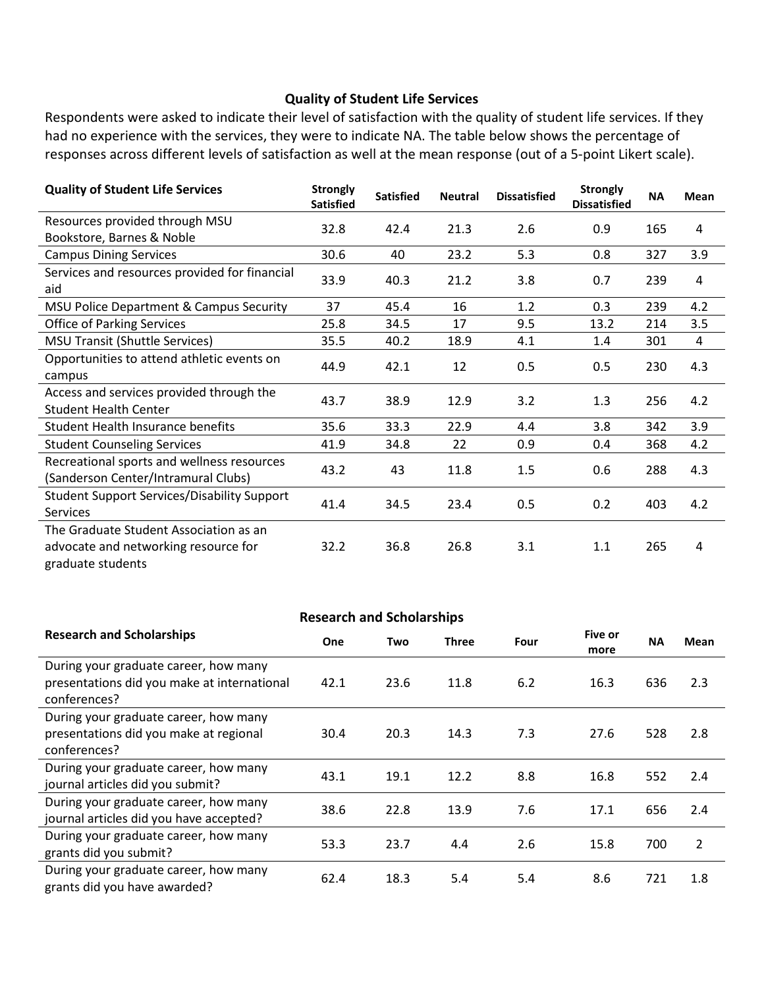#### **Quality of Student Life Services**

Respondents were asked to indicate their level of satisfaction with the quality of student life services. If they had no experience with the services, they were to indicate NA. The table below shows the percentage of responses across different levels of satisfaction as well at the mean response (out of a 5-point Likert scale).

| <b>Quality of Student Life Services</b>                                                             | <b>Strongly</b><br><b>Satisfied</b> | <b>Satisfied</b> | <b>Neutral</b> | <b>Dissatisfied</b> | <b>Strongly</b><br><b>Dissatisfied</b> | <b>NA</b> | <b>Mean</b> |
|-----------------------------------------------------------------------------------------------------|-------------------------------------|------------------|----------------|---------------------|----------------------------------------|-----------|-------------|
| Resources provided through MSU<br>Bookstore, Barnes & Noble                                         | 32.8                                | 42.4             | 21.3           | 2.6                 | 0.9                                    | 165       | 4           |
| <b>Campus Dining Services</b>                                                                       | 30.6                                | 40               | 23.2           | 5.3                 | 0.8                                    | 327       | 3.9         |
| Services and resources provided for financial<br>aid                                                | 33.9                                | 40.3             | 21.2           | 3.8                 | 0.7                                    | 239       | 4           |
| MSU Police Department & Campus Security                                                             | 37                                  | 45.4             | 16             | 1.2                 | 0.3                                    | 239       | 4.2         |
| <b>Office of Parking Services</b>                                                                   | 25.8                                | 34.5             | 17             | 9.5                 | 13.2                                   | 214       | 3.5         |
| <b>MSU Transit (Shuttle Services)</b>                                                               | 35.5                                | 40.2             | 18.9           | 4.1                 | 1.4                                    | 301       | 4           |
| Opportunities to attend athletic events on<br>campus                                                | 44.9                                | 42.1             | 12             | 0.5                 | 0.5                                    | 230       | 4.3         |
| Access and services provided through the<br><b>Student Health Center</b>                            | 43.7                                | 38.9             | 12.9           | 3.2                 | 1.3                                    | 256       | 4.2         |
| <b>Student Health Insurance benefits</b>                                                            | 35.6                                | 33.3             | 22.9           | 4.4                 | 3.8                                    | 342       | 3.9         |
| <b>Student Counseling Services</b>                                                                  | 41.9                                | 34.8             | 22             | 0.9                 | 0.4                                    | 368       | 4.2         |
| Recreational sports and wellness resources<br>(Sanderson Center/Intramural Clubs)                   | 43.2                                | 43               | 11.8           | 1.5                 | 0.6                                    | 288       | 4.3         |
| <b>Student Support Services/Disability Support</b><br><b>Services</b>                               | 41.4                                | 34.5             | 23.4           | 0.5                 | 0.2                                    | 403       | 4.2         |
| The Graduate Student Association as an<br>advocate and networking resource for<br>graduate students | 32.2                                | 36.8             | 26.8           | 3.1                 | 1.1                                    | 265       | 4           |

| <b>Research and Scholarships</b>                                                                     |      |      |       |      |                 |           |      |
|------------------------------------------------------------------------------------------------------|------|------|-------|------|-----------------|-----------|------|
| <b>Research and Scholarships</b>                                                                     | One  | Two  | Three | Four | Five or<br>more | <b>NA</b> | Mean |
| During your graduate career, how many<br>presentations did you make at international<br>conferences? | 42.1 | 23.6 | 11.8  | 6.2  | 16.3            | 636       | 2.3  |
| During your graduate career, how many<br>presentations did you make at regional<br>conferences?      | 30.4 | 20.3 | 14.3  | 7.3  | 27.6            | 528       | 2.8  |
| During your graduate career, how many<br>journal articles did you submit?                            | 43.1 | 19.1 | 12.2  | 8.8  | 16.8            | 552       | 2.4  |
| During your graduate career, how many<br>journal articles did you have accepted?                     | 38.6 | 22.8 | 13.9  | 7.6  | 17.1            | 656       | 2.4  |
| During your graduate career, how many<br>grants did you submit?                                      | 53.3 | 23.7 | 4.4   | 2.6  | 15.8            | 700       | 2    |
| During your graduate career, how many<br>grants did you have awarded?                                | 62.4 | 18.3 | 5.4   | 5.4  | 8.6             | 721       | 1.8  |